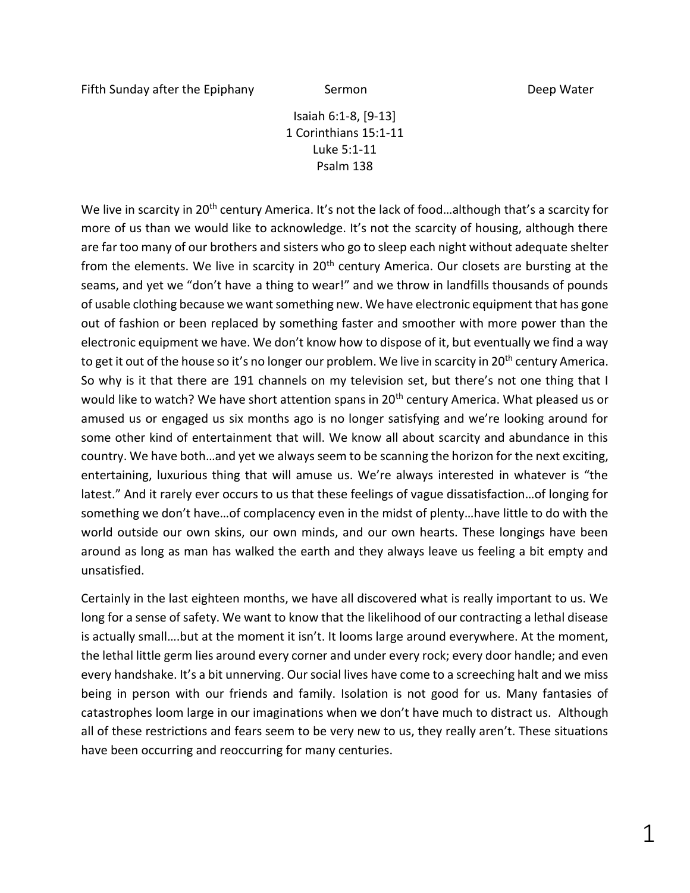Isaiah 6:1-8, [9-13] 1 Corinthians 15:1-11 Luke 5:1-11 Psalm 138

We live in scarcity in 20<sup>th</sup> century America. It's not the lack of food...although that's a scarcity for more of us than we would like to acknowledge. It's not the scarcity of housing, although there are far too many of our brothers and sisters who go to sleep each night without adequate shelter from the elements. We live in scarcity in 20<sup>th</sup> century America. Our closets are bursting at the seams, and yet we "don't have a thing to wear!" and we throw in landfills thousands of pounds of usable clothing because we want something new. We have electronic equipment that has gone out of fashion or been replaced by something faster and smoother with more power than the electronic equipment we have. We don't know how to dispose of it, but eventually we find a way to get it out of the house so it's no longer our problem. We live in scarcity in 20<sup>th</sup> century America. So why is it that there are 191 channels on my television set, but there's not one thing that I would like to watch? We have short attention spans in 20<sup>th</sup> century America. What pleased us or amused us or engaged us six months ago is no longer satisfying and we're looking around for some other kind of entertainment that will. We know all about scarcity and abundance in this country. We have both…and yet we always seem to be scanning the horizon for the next exciting, entertaining, luxurious thing that will amuse us. We're always interested in whatever is "the latest." And it rarely ever occurs to us that these feelings of vague dissatisfaction…of longing for something we don't have…of complacency even in the midst of plenty…have little to do with the world outside our own skins, our own minds, and our own hearts. These longings have been around as long as man has walked the earth and they always leave us feeling a bit empty and unsatisfied.

Certainly in the last eighteen months, we have all discovered what is really important to us. We long for a sense of safety. We want to know that the likelihood of our contracting a lethal disease is actually small….but at the moment it isn't. It looms large around everywhere. At the moment, the lethal little germ lies around every corner and under every rock; every door handle; and even every handshake. It's a bit unnerving. Our social lives have come to a screeching halt and we miss being in person with our friends and family. Isolation is not good for us. Many fantasies of catastrophes loom large in our imaginations when we don't have much to distract us. Although all of these restrictions and fears seem to be very new to us, they really aren't. These situations have been occurring and reoccurring for many centuries.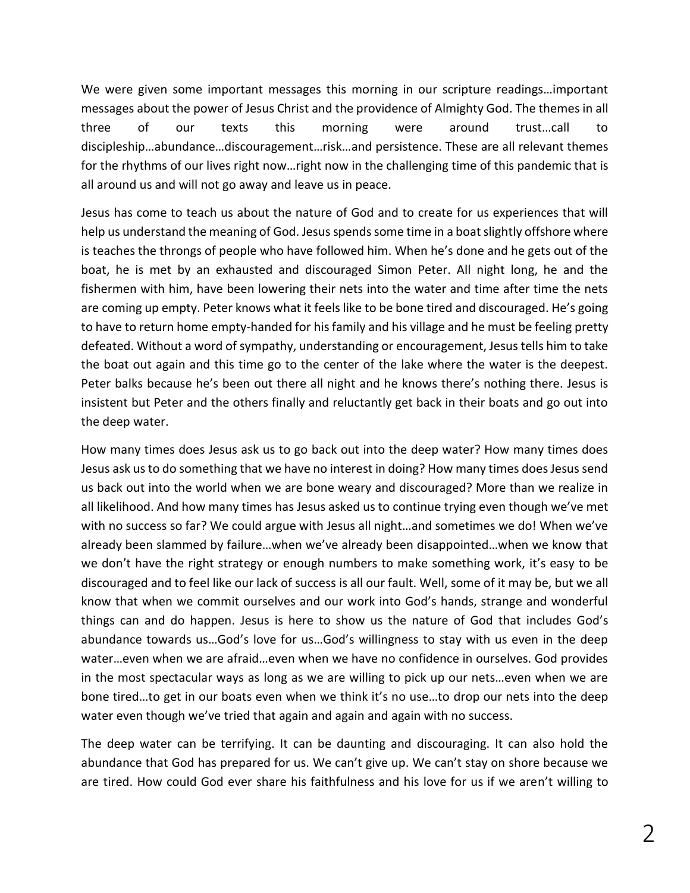We were given some important messages this morning in our scripture readings…important messages about the power of Jesus Christ and the providence of Almighty God. The themes in all three of our texts this morning were around trust…call to discipleship…abundance…discouragement…risk…and persistence. These are all relevant themes for the rhythms of our lives right now…right now in the challenging time of this pandemic that is all around us and will not go away and leave us in peace.

Jesus has come to teach us about the nature of God and to create for us experiences that will help us understand the meaning of God. Jesus spends some time in a boat slightly offshore where is teaches the throngs of people who have followed him. When he's done and he gets out of the boat, he is met by an exhausted and discouraged Simon Peter. All night long, he and the fishermen with him, have been lowering their nets into the water and time after time the nets are coming up empty. Peter knows what it feels like to be bone tired and discouraged. He's going to have to return home empty-handed for his family and his village and he must be feeling pretty defeated. Without a word of sympathy, understanding or encouragement, Jesus tells him to take the boat out again and this time go to the center of the lake where the water is the deepest. Peter balks because he's been out there all night and he knows there's nothing there. Jesus is insistent but Peter and the others finally and reluctantly get back in their boats and go out into the deep water.

How many times does Jesus ask us to go back out into the deep water? How many times does Jesus ask us to do something that we have no interest in doing? How many times does Jesus send us back out into the world when we are bone weary and discouraged? More than we realize in all likelihood. And how many times has Jesus asked us to continue trying even though we've met with no success so far? We could argue with Jesus all night…and sometimes we do! When we've already been slammed by failure…when we've already been disappointed…when we know that we don't have the right strategy or enough numbers to make something work, it's easy to be discouraged and to feel like our lack of success is all our fault. Well, some of it may be, but we all know that when we commit ourselves and our work into God's hands, strange and wonderful things can and do happen. Jesus is here to show us the nature of God that includes God's abundance towards us…God's love for us…God's willingness to stay with us even in the deep water…even when we are afraid…even when we have no confidence in ourselves. God provides in the most spectacular ways as long as we are willing to pick up our nets…even when we are bone tired…to get in our boats even when we think it's no use…to drop our nets into the deep water even though we've tried that again and again and again with no success.

The deep water can be terrifying. It can be daunting and discouraging. It can also hold the abundance that God has prepared for us. We can't give up. We can't stay on shore because we are tired. How could God ever share his faithfulness and his love for us if we aren't willing to